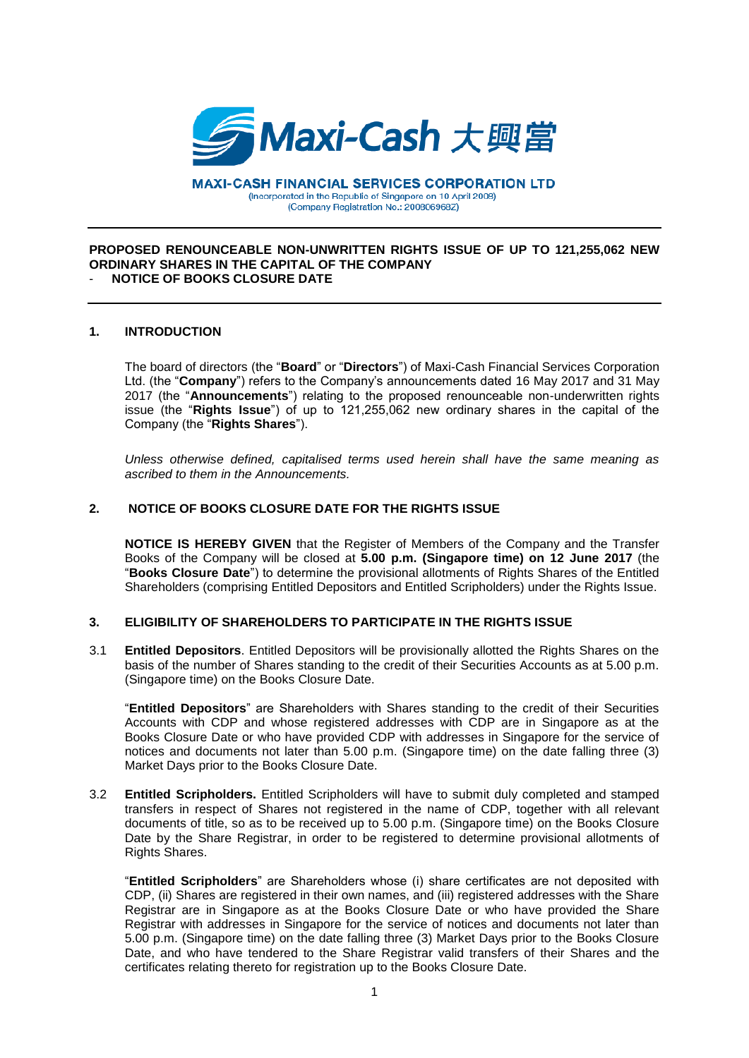

**MAXI-CASH FINANCIAL SERVICES CORPORATION LTD** (Incorporated in the Republic of Singapore on 10 April 2008) (Company Registration No.: 200806968Z)

### **PROPOSED RENOUNCEABLE NON-UNWRITTEN RIGHTS ISSUE OF UP TO 121,255,062 NEW ORDINARY SHARES IN THE CAPITAL OF THE COMPANY NOTICE OF BOOKS CLOSURE DATE**

# **1. INTRODUCTION**

The board of directors (the "**Board**" or "**Directors**") of Maxi-Cash Financial Services Corporation Ltd. (the "**Company**") refers to the Company's announcements dated 16 May 2017 and 31 May 2017 (the "**Announcements**") relating to the proposed renounceable non-underwritten rights issue (the "**Rights Issue**") of up to 121,255,062 new ordinary shares in the capital of the Company (the "**Rights Shares**").

*Unless otherwise defined, capitalised terms used herein shall have the same meaning as ascribed to them in the Announcements.*

# **2. NOTICE OF BOOKS CLOSURE DATE FOR THE RIGHTS ISSUE**

**NOTICE IS HEREBY GIVEN** that the Register of Members of the Company and the Transfer Books of the Company will be closed at **5.00 p.m. (Singapore time) on 12 June 2017** (the "**Books Closure Date**") to determine the provisional allotments of Rights Shares of the Entitled Shareholders (comprising Entitled Depositors and Entitled Scripholders) under the Rights Issue.

# **3. ELIGIBILITY OF SHAREHOLDERS TO PARTICIPATE IN THE RIGHTS ISSUE**

3.1 **Entitled Depositors**. Entitled Depositors will be provisionally allotted the Rights Shares on the basis of the number of Shares standing to the credit of their Securities Accounts as at 5.00 p.m. (Singapore time) on the Books Closure Date.

"**Entitled Depositors**" are Shareholders with Shares standing to the credit of their Securities Accounts with CDP and whose registered addresses with CDP are in Singapore as at the Books Closure Date or who have provided CDP with addresses in Singapore for the service of notices and documents not later than 5.00 p.m. (Singapore time) on the date falling three (3) Market Days prior to the Books Closure Date.

3.2 **Entitled Scripholders.** Entitled Scripholders will have to submit duly completed and stamped transfers in respect of Shares not registered in the name of CDP, together with all relevant documents of title, so as to be received up to 5.00 p.m. (Singapore time) on the Books Closure Date by the Share Registrar, in order to be registered to determine provisional allotments of Rights Shares.

"**Entitled Scripholders**" are Shareholders whose (i) share certificates are not deposited with CDP, (ii) Shares are registered in their own names, and (iii) registered addresses with the Share Registrar are in Singapore as at the Books Closure Date or who have provided the Share Registrar with addresses in Singapore for the service of notices and documents not later than 5.00 p.m. (Singapore time) on the date falling three (3) Market Days prior to the Books Closure Date, and who have tendered to the Share Registrar valid transfers of their Shares and the certificates relating thereto for registration up to the Books Closure Date.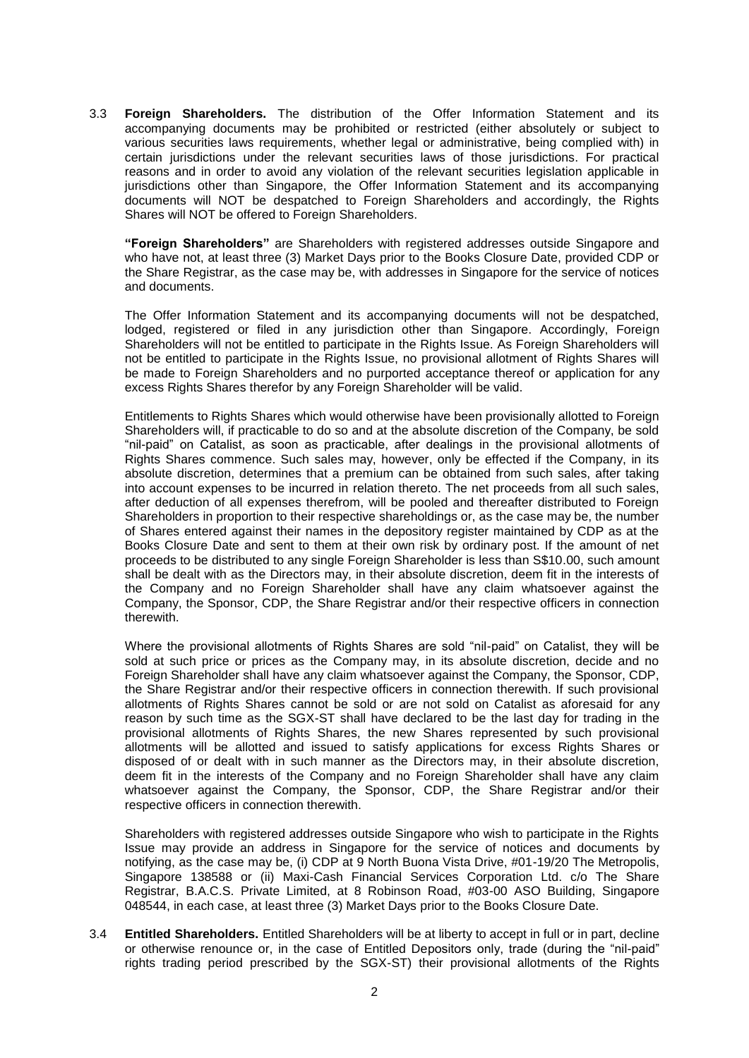3.3 **Foreign Shareholders.** The distribution of the Offer Information Statement and its accompanying documents may be prohibited or restricted (either absolutely or subject to various securities laws requirements, whether legal or administrative, being complied with) in certain jurisdictions under the relevant securities laws of those jurisdictions. For practical reasons and in order to avoid any violation of the relevant securities legislation applicable in jurisdictions other than Singapore, the Offer Information Statement and its accompanying documents will NOT be despatched to Foreign Shareholders and accordingly, the Rights Shares will NOT be offered to Foreign Shareholders.

**"Foreign Shareholders"** are Shareholders with registered addresses outside Singapore and who have not, at least three (3) Market Days prior to the Books Closure Date, provided CDP or the Share Registrar, as the case may be, with addresses in Singapore for the service of notices and documents.

The Offer Information Statement and its accompanying documents will not be despatched, lodged, registered or filed in any jurisdiction other than Singapore. Accordingly, Foreign Shareholders will not be entitled to participate in the Rights Issue. As Foreign Shareholders will not be entitled to participate in the Rights Issue, no provisional allotment of Rights Shares will be made to Foreign Shareholders and no purported acceptance thereof or application for any excess Rights Shares therefor by any Foreign Shareholder will be valid.

Entitlements to Rights Shares which would otherwise have been provisionally allotted to Foreign Shareholders will, if practicable to do so and at the absolute discretion of the Company, be sold "nil-paid" on Catalist, as soon as practicable, after dealings in the provisional allotments of Rights Shares commence. Such sales may, however, only be effected if the Company, in its absolute discretion, determines that a premium can be obtained from such sales, after taking into account expenses to be incurred in relation thereto. The net proceeds from all such sales, after deduction of all expenses therefrom, will be pooled and thereafter distributed to Foreign Shareholders in proportion to their respective shareholdings or, as the case may be, the number of Shares entered against their names in the depository register maintained by CDP as at the Books Closure Date and sent to them at their own risk by ordinary post. If the amount of net proceeds to be distributed to any single Foreign Shareholder is less than S\$10.00, such amount shall be dealt with as the Directors may, in their absolute discretion, deem fit in the interests of the Company and no Foreign Shareholder shall have any claim whatsoever against the Company, the Sponsor, CDP, the Share Registrar and/or their respective officers in connection therewith.

Where the provisional allotments of Rights Shares are sold "nil-paid" on Catalist, they will be sold at such price or prices as the Company may, in its absolute discretion, decide and no Foreign Shareholder shall have any claim whatsoever against the Company, the Sponsor, CDP, the Share Registrar and/or their respective officers in connection therewith. If such provisional allotments of Rights Shares cannot be sold or are not sold on Catalist as aforesaid for any reason by such time as the SGX-ST shall have declared to be the last day for trading in the provisional allotments of Rights Shares, the new Shares represented by such provisional allotments will be allotted and issued to satisfy applications for excess Rights Shares or disposed of or dealt with in such manner as the Directors may, in their absolute discretion, deem fit in the interests of the Company and no Foreign Shareholder shall have any claim whatsoever against the Company, the Sponsor, CDP, the Share Registrar and/or their respective officers in connection therewith.

Shareholders with registered addresses outside Singapore who wish to participate in the Rights Issue may provide an address in Singapore for the service of notices and documents by notifying, as the case may be, (i) CDP at 9 North Buona Vista Drive, #01-19/20 The Metropolis, Singapore 138588 or (ii) Maxi-Cash Financial Services Corporation Ltd. c/o The Share Registrar, B.A.C.S. Private Limited, at 8 Robinson Road, #03-00 ASO Building, Singapore 048544, in each case, at least three (3) Market Days prior to the Books Closure Date.

3.4 **Entitled Shareholders.** Entitled Shareholders will be at liberty to accept in full or in part, decline or otherwise renounce or, in the case of Entitled Depositors only, trade (during the "nil-paid" rights trading period prescribed by the SGX-ST) their provisional allotments of the Rights